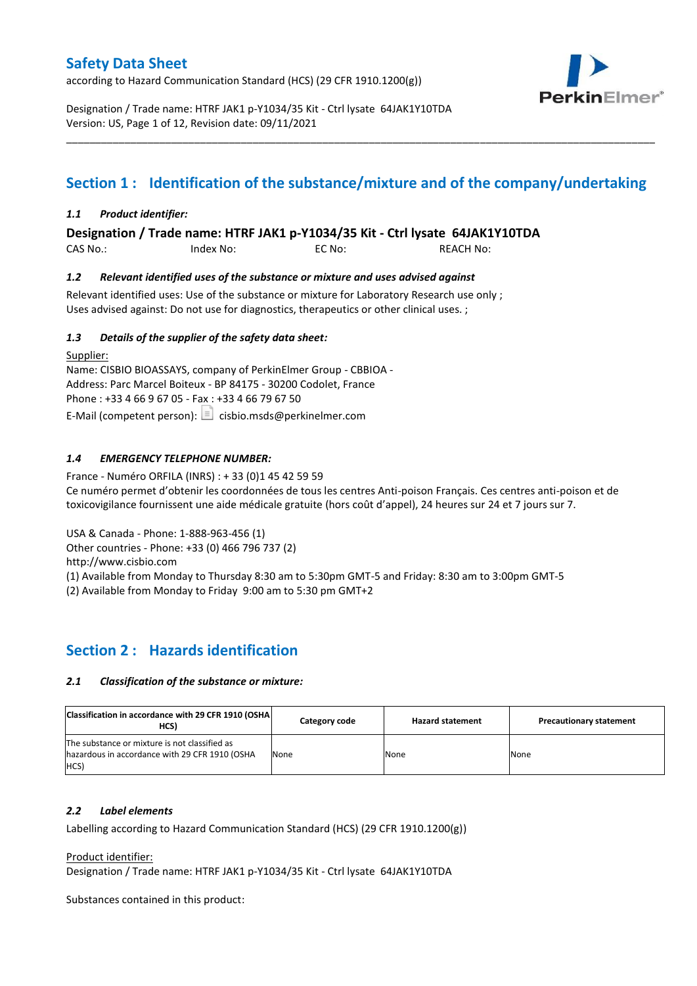according to Hazard Communication Standard (HCS) (29 CFR 1910.1200(g))



Designation / Trade name: HTRF JAK1 p-Y1034/35 Kit - Ctrl lysate 64JAK1Y10TDA Version: US, Page 1 of 12, Revision date: 09/11/2021

# **Section 1 : Identification of the substance/mixture and of the company/undertaking**

\_\_\_\_\_\_\_\_\_\_\_\_\_\_\_\_\_\_\_\_\_\_\_\_\_\_\_\_\_\_\_\_\_\_\_\_\_\_\_\_\_\_\_\_\_\_\_\_\_\_\_\_\_\_\_\_\_\_\_\_\_\_\_\_\_\_\_\_\_\_\_\_\_\_\_\_\_\_\_\_\_\_\_\_\_\_\_\_\_\_\_\_\_\_\_\_\_\_\_\_\_

### *1.1 Product identifier:*

**Designation / Trade name: HTRF JAK1 p-Y1034/35 Kit - Ctrl lysate 64JAK1Y10TDA** 

| CAS No.: | Index No: | EC No: | <b>REACH No:</b> |
|----------|-----------|--------|------------------|
|          |           |        |                  |

### *1.2 Relevant identified uses of the substance or mixture and uses advised against*

Relevant identified uses: Use of the substance or mixture for Laboratory Research use only ; Uses advised against: Do not use for diagnostics, therapeutics or other clinical uses. ;

### *1.3 Details of the supplier of the safety data sheet:*

Supplier: Name: CISBIO BIOASSAYS, company of PerkinElmer Group - CBBIOA - Address: Parc Marcel Boiteux - BP 84175 - 30200 Codolet, France Phone : +33 4 66 9 67 05 - Fax : +33 4 66 79 67 50 E-Mail (competent person):  $\Box$  cisbio.msds@perkinelmer.com

### *1.4 EMERGENCY TELEPHONE NUMBER:*

France - Numéro ORFILA (INRS) : + 33 (0)1 45 42 59 59 Ce numéro permet d'obtenir les coordonnées de tous les centres Anti-poison Français. Ces centres anti-poison et de toxicovigilance fournissent une aide médicale gratuite (hors coût d'appel), 24 heures sur 24 et 7 jours sur 7.

USA & Canada - Phone: 1-888-963-456 (1)

Other countries - Phone: +33 (0) 466 796 737 (2)

http://www.cisbio.com

(1) Available from Monday to Thursday 8:30 am to 5:30pm GMT-5 and Friday: 8:30 am to 3:00pm GMT-5

(2) Available from Monday to Friday 9:00 am to 5:30 pm GMT+2

### **Section 2 : Hazards identification**

### *2.1 Classification of the substance or mixture:*

| Classification in accordance with 29 CFR 1910 (OSHA)<br>HCS)                                            | Category code | <b>Hazard statement</b> | <b>Precautionary statement</b> |
|---------------------------------------------------------------------------------------------------------|---------------|-------------------------|--------------------------------|
| The substance or mixture is not classified as<br>hazardous in accordance with 29 CFR 1910 (OSHA<br>HCS) | None          | None                    | None                           |

### *2.2 Label elements*

Labelling according to Hazard Communication Standard (HCS) (29 CFR 1910.1200(g))

Product identifier:

Designation / Trade name: HTRF JAK1 p-Y1034/35 Kit - Ctrl lysate 64JAK1Y10TDA

Substances contained in this product: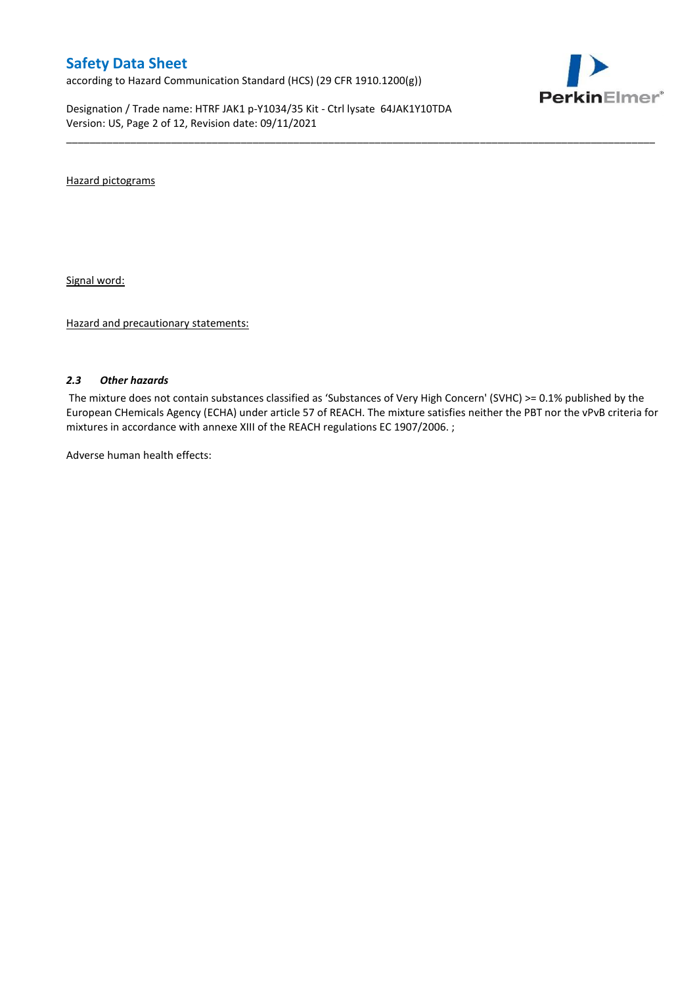according to Hazard Communication Standard (HCS) (29 CFR 1910.1200(g))

Designation / Trade name: HTRF JAK1 p-Y1034/35 Kit - Ctrl lysate 64JAK1Y10TDA Version: US, Page 2 of 12, Revision date: 09/11/2021



Hazard pictograms

Signal word:

Hazard and precautionary statements:

#### *2.3 Other hazards*

The mixture does not contain substances classified as 'Substances of Very High Concern' (SVHC) >= 0.1% published by the European CHemicals Agency (ECHA) under article 57 of REACH. The mixture satisfies neither the PBT nor the vPvB criteria for mixtures in accordance with annexe XIII of the REACH regulations EC 1907/2006. ;

\_\_\_\_\_\_\_\_\_\_\_\_\_\_\_\_\_\_\_\_\_\_\_\_\_\_\_\_\_\_\_\_\_\_\_\_\_\_\_\_\_\_\_\_\_\_\_\_\_\_\_\_\_\_\_\_\_\_\_\_\_\_\_\_\_\_\_\_\_\_\_\_\_\_\_\_\_\_\_\_\_\_\_\_\_\_\_\_\_\_\_\_\_\_\_\_\_\_\_\_\_

Adverse human health effects: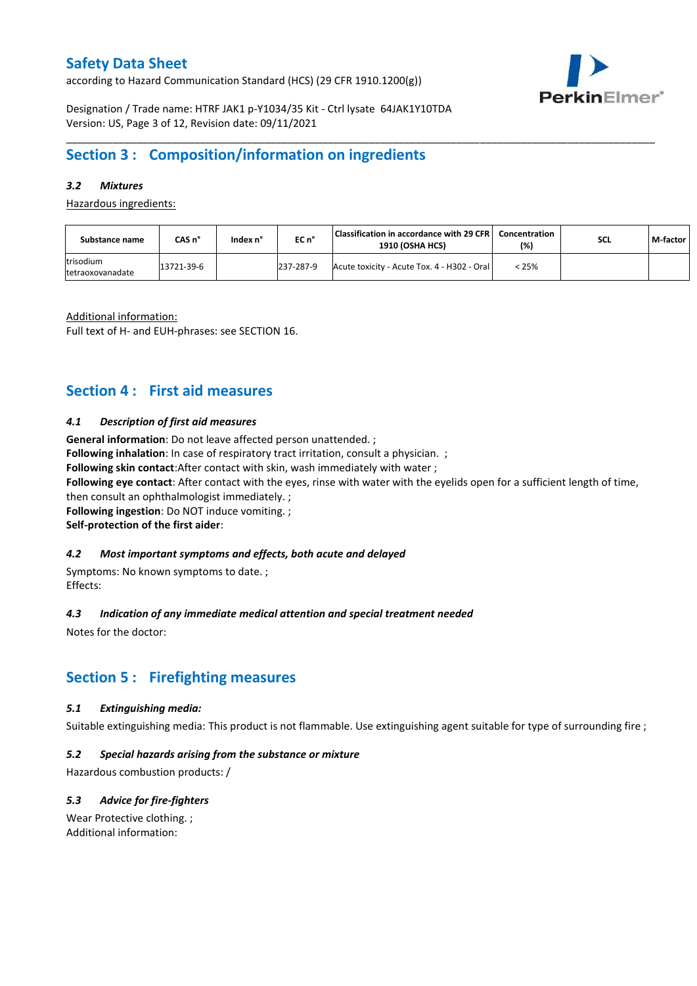according to Hazard Communication Standard (HCS) (29 CFR 1910.1200(g))



Designation / Trade name: HTRF JAK1 p-Y1034/35 Kit - Ctrl lysate 64JAK1Y10TDA Version: US, Page 3 of 12, Revision date: 09/11/2021

### **Section 3 : Composition/information on ingredients**

### *3.2 Mixtures*

Hazardous ingredients:

| Substance name                | CAS n°     | lndex n° | EC n°     | Classification in accordance with 29 CFR  <br><b>1910 (OSHA HCS)</b> | Concentration<br>(%) | <b>SCL</b> | M-factor |
|-------------------------------|------------|----------|-----------|----------------------------------------------------------------------|----------------------|------------|----------|
| trisodium<br>tetraoxovanadate | 13721-39-6 |          | 237-287-9 | Acute toxicity - Acute Tox. 4 - H302 - Oral                          | < 25%                |            |          |

\_\_\_\_\_\_\_\_\_\_\_\_\_\_\_\_\_\_\_\_\_\_\_\_\_\_\_\_\_\_\_\_\_\_\_\_\_\_\_\_\_\_\_\_\_\_\_\_\_\_\_\_\_\_\_\_\_\_\_\_\_\_\_\_\_\_\_\_\_\_\_\_\_\_\_\_\_\_\_\_\_\_\_\_\_\_\_\_\_\_\_\_\_\_\_\_\_\_\_\_\_

Additional information:

Full text of H- and EUH-phrases: see SECTION 16.

### **Section 4 : First aid measures**

#### *4.1 Description of first aid measures*

**General information**: Do not leave affected person unattended. ;

**Following inhalation**: In case of respiratory tract irritation, consult a physician. ;

**Following skin contact**:After contact with skin, wash immediately with water ;

**Following eye contact**: After contact with the eyes, rinse with water with the eyelids open for a sufficient length of time,

then consult an ophthalmologist immediately. ;

**Following ingestion**: Do NOT induce vomiting. ;

**Self-protection of the first aider**:

### *4.2 Most important symptoms and effects, both acute and delayed*

Symptoms: No known symptoms to date. ; Effects:

### *4.3 Indication of any immediate medical attention and special treatment needed*

Notes for the doctor:

### **Section 5 : Firefighting measures**

#### *5.1 Extinguishing media:*

Suitable extinguishing media: This product is not flammable. Use extinguishing agent suitable for type of surrounding fire ;

### *5.2 Special hazards arising from the substance or mixture*

Hazardous combustion products: /

### *5.3 Advice for fire-fighters*

Wear Protective clothing. ; Additional information: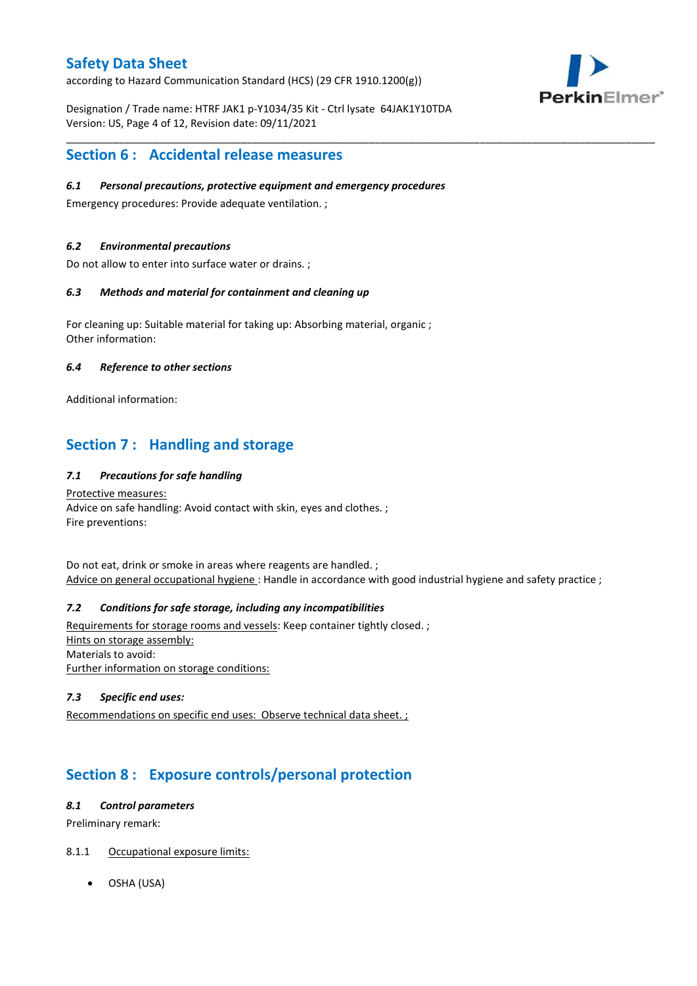according to Hazard Communication Standard (HCS) (29 CFR 1910.1200(g))

PerkinElmer®

Designation / Trade name: HTRF JAK1 p-Y1034/35 Kit - Ctrl lysate 64JAK1Y10TDA Version: US, Page 4 of 12, Revision date: 09/11/2021

\_\_\_\_\_\_\_\_\_\_\_\_\_\_\_\_\_\_\_\_\_\_\_\_\_\_\_\_\_\_\_\_\_\_\_\_\_\_\_\_\_\_\_\_\_\_\_\_\_\_\_\_\_\_\_\_\_\_\_\_\_\_\_\_\_\_\_\_\_\_\_\_\_\_\_\_\_\_\_\_\_\_\_\_\_\_\_\_\_\_\_\_\_\_\_\_\_\_\_\_\_

### **Section 6 : Accidental release measures**

#### *6.1 Personal precautions, protective equipment and emergency procedures*

Emergency procedures: Provide adequate ventilation. ;

#### *6.2 Environmental precautions*

Do not allow to enter into surface water or drains. ;

#### *6.3 Methods and material for containment and cleaning up*

For cleaning up: Suitable material for taking up: Absorbing material, organic ; Other information:

#### *6.4 Reference to other sections*

Additional information:

# **Section 7 : Handling and storage**

### *7.1 Precautions for safe handling*

Protective measures: Advice on safe handling: Avoid contact with skin, eyes and clothes. ; Fire preventions:

Do not eat, drink or smoke in areas where reagents are handled. ; Advice on general occupational hygiene: Handle in accordance with good industrial hygiene and safety practice ;

### *7.2 Conditions for safe storage, including any incompatibilities*

Requirements for storage rooms and vessels: Keep container tightly closed. ; Hints on storage assembly: Materials to avoid: Further information on storage conditions:

#### *7.3 Specific end uses:*

Recommendations on specific end uses: Observe technical data sheet. ;

# **Section 8 : Exposure controls/personal protection**

#### *8.1 Control parameters*

Preliminary remark:

### 8.1.1 Occupational exposure limits:

OSHA (USA)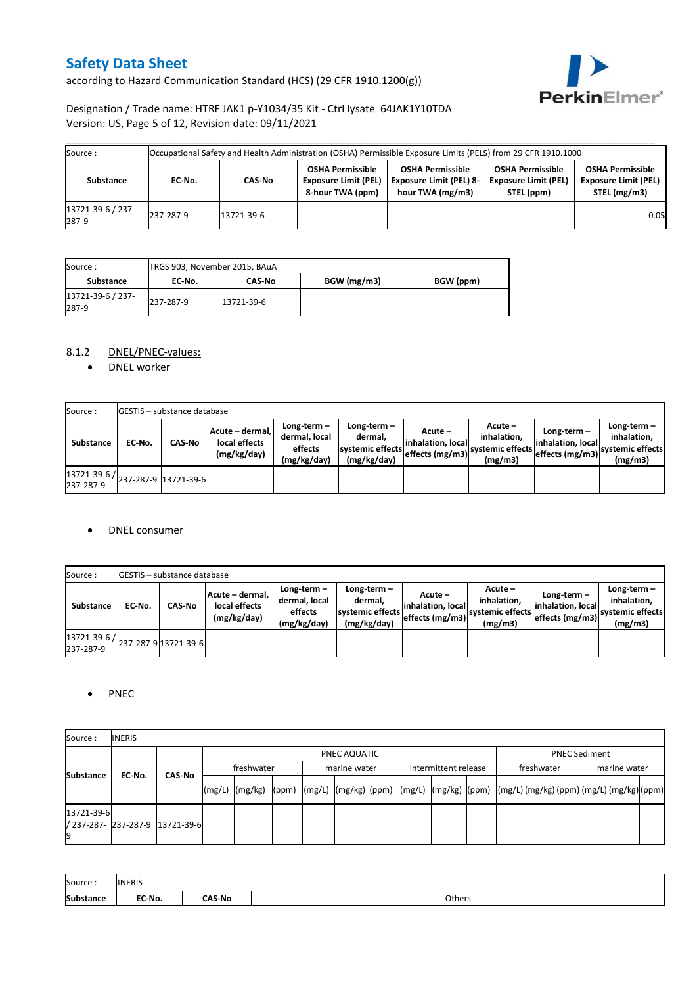according to Hazard Communication Standard (HCS) (29 CFR 1910.1200(g))



### Designation / Trade name: HTRF JAK1 p-Y1034/35 Kit - Ctrl lysate 64JAK1Y10TDA Version: US, Page 5 of 12, Revision date: 09/11/2021

| Source :                   |           |            |                                                                            | Occupational Safety and Health Administration (OSHA) Permissible Exposure Limits (PELS) from 29 CFR 1910.1000 |                                                                      |                                                                        |
|----------------------------|-----------|------------|----------------------------------------------------------------------------|---------------------------------------------------------------------------------------------------------------|----------------------------------------------------------------------|------------------------------------------------------------------------|
| Substance                  | EC-No.    | CAS-No     | <b>OSHA Permissible</b><br><b>Exposure Limit (PEL)</b><br>8-hour TWA (ppm) | <b>OSHA Permissible</b><br><b>Exposure Limit (PEL) 8-</b><br>hour TWA (mg/m3)                                 | <b>OSHA Permissible</b><br><b>Exposure Limit (PEL)</b><br>STEL (ppm) | <b>OSHA Permissible</b><br><b>Exposure Limit (PEL)</b><br>STEL (mg/m3) |
| 13721-39-6 / 237-<br>287-9 | 237-287-9 | 13721-39-6 |                                                                            |                                                                                                               |                                                                      | 0.05                                                                   |

| Source :                   | TRGS 903, November 2015, BAuA |               |             |           |  |  |  |  |  |
|----------------------------|-------------------------------|---------------|-------------|-----------|--|--|--|--|--|
| Substance                  | EC No.                        | <b>CAS No</b> | BGW (mg/m3) | BGW (ppm) |  |  |  |  |  |
| 13721-39-6 / 237-<br>287-9 | 237-287-9                     | 13721-39-6    |             |           |  |  |  |  |  |

### 8.1.2 DNEL/PNEC-values:

• DNEL worker

| Source:                                                                                       |        | <b>IGESTIS - substance database</b> |                                                 |                                                          |                                                             |                                                  |                                                         |                                   |                                                                                                 |
|-----------------------------------------------------------------------------------------------|--------|-------------------------------------|-------------------------------------------------|----------------------------------------------------------|-------------------------------------------------------------|--------------------------------------------------|---------------------------------------------------------|-----------------------------------|-------------------------------------------------------------------------------------------------|
| Substance                                                                                     | EC-No. | <b>CAS-No</b>                       | Acute - dermal.<br>local effects<br>(mg/kg/day) | Long-term $-$<br>dermal, local<br>effects<br>(mg/kg/day) | $Long-term -$<br>dermal.<br>systemic effects<br>(mg/kg/day) | Acute –<br>linhalation. local<br>effects (mg/m3) | $Acute -$<br>inhalation.<br>systemic effects<br>(mg/m3) | Long-term-<br>linhalation. locall | Long-term $-$<br>inhalation,<br>----' effects (mg/m3)  <sup>systemic effects</sup> 1<br>(mg/m3) |
| $\left  \frac{13721 \cdot 39 \cdot 6}{237 \cdot 287 \cdot 9} \right $ 13721-39-6<br>237-287-9 |        |                                     |                                                 |                                                          |                                                             |                                                  |                                                         |                                   |                                                                                                 |

#### • DNEL consumer

| Source:                   |        | <b>GESTIS</b> - substance database |                                                 |                                                          |                                                             |                                                  |                                                       |                                                     |                                                          |
|---------------------------|--------|------------------------------------|-------------------------------------------------|----------------------------------------------------------|-------------------------------------------------------------|--------------------------------------------------|-------------------------------------------------------|-----------------------------------------------------|----------------------------------------------------------|
| <b>Substance</b>          | EC No. | <b>CAS-No</b>                      | Acute - dermal.<br>local effects<br>(mg/kg/day) | Long-term $-$<br>dermal, local<br>effects<br>(mg/kg/day) | Long-term $-$<br>dermal,<br>systemic effects<br>(mg/kg/day) | Acute –<br>linhalation. local<br>effects (mg/m3) | Acute -<br>inhalation.<br>systemic effects<br>(mg/m3) | Long-term-<br>linhalation. local<br>effects (mg/m3) | Long-term-<br>inhalation.<br>systemic effects<br>(mg/m3) |
| 13721-39-6 /<br>237-287-9 |        | 237-287-9 13721-39-6               |                                                 |                                                          |                                                             |                                                  |                                                       |                                                     |                                                          |

### • PNEC

| Source:          | <b>INERIS</b>                   |               |            |  |              |  |                      |  |            |  |                      |                                                                                                                                    |  |
|------------------|---------------------------------|---------------|------------|--|--------------|--|----------------------|--|------------|--|----------------------|------------------------------------------------------------------------------------------------------------------------------------|--|
| <b>Substance</b> |                                 |               |            |  | PNEC AQUATIC |  |                      |  |            |  | <b>PNEC Sediment</b> |                                                                                                                                    |  |
|                  | EC-No.                          | <b>CAS-No</b> | freshwater |  | marine water |  | intermittent release |  | freshwater |  |                      |                                                                                                                                    |  |
|                  |                                 |               |            |  |              |  |                      |  |            |  |                      | marine water<br>[(mg/L)  (mg/kg)  (ppm)  (mg/L)  (mg/kg)  (ppm)  (mg/L)  (mg/kg)  (ppm)  (mg/L) (mg/kg) (ppm) (mg/L) (mg/kg) (ppm) |  |
| 13721-39-6       | / 237-287- 237-287-9 13721-39-6 |               |            |  |              |  |                      |  |            |  |                      |                                                                                                                                    |  |

| Source:   | <b>INERIS</b> |               |        |
|-----------|---------------|---------------|--------|
| Substance | EC-No.        | <b>∩AS-No</b> | Others |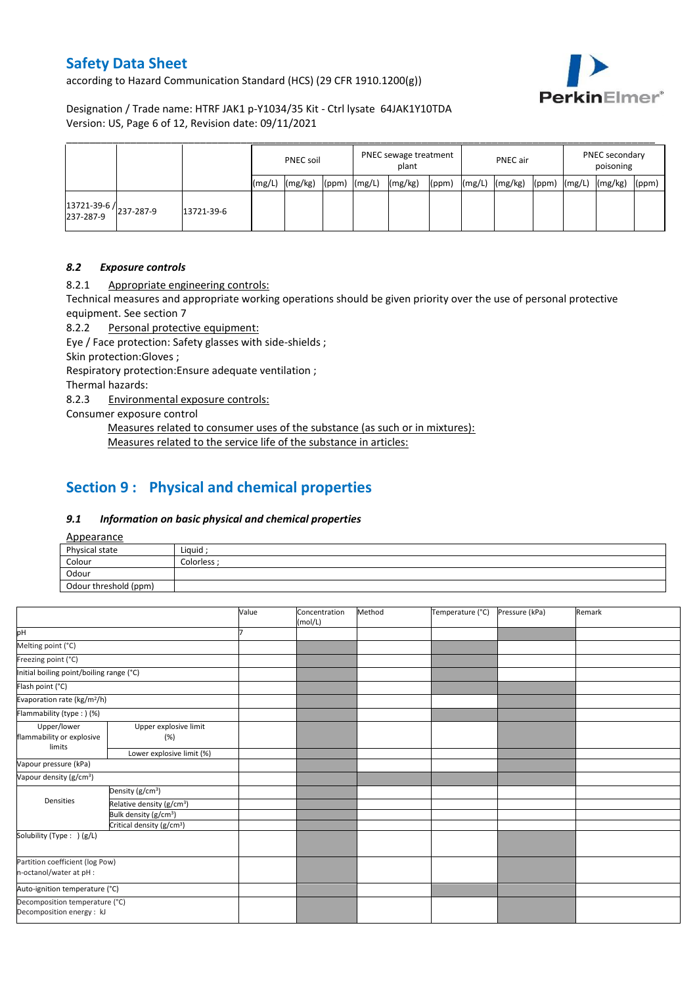according to Hazard Communication Standard (HCS) (29 CFR 1910.1200(g))



### Designation / Trade name: HTRF JAK1 p-Y1034/35 Kit - Ctrl lysate 64JAK1Y10TDA Version: US, Page 6 of 12, Revision date: 09/11/2021

|                                     |            | <b>PNEC soil</b> |         |                  | PNEC sewage treatment<br>plant |         |       | <b>PNEC</b> air |         |       | PNEC secondary<br>poisoning |         |       |
|-------------------------------------|------------|------------------|---------|------------------|--------------------------------|---------|-------|-----------------|---------|-------|-----------------------------|---------|-------|
|                                     |            | mg/              | (mg/kg) | $(ppm)$ $(mg/L)$ |                                | (mg/kg) | (ppm) | (mg/L)          | (mg/kg) | (ppm) | (mg/L)                      | (mg/kg) | (ppm) |
| 13721-39-6 /<br>237-287-9 237-287-9 | 13721-39-6 |                  |         |                  |                                |         |       |                 |         |       |                             |         |       |

#### *8.2 Exposure controls*

8.2.1 Appropriate engineering controls:

Technical measures and appropriate working operations should be given priority over the use of personal protective equipment. See section 7

8.2.2 Personal protective equipment:

Eye / Face protection: Safety glasses with side-shields ;

Skin protection:Gloves ;

Respiratory protection:Ensure adequate ventilation ;

Thermal hazards:

8.2.3 Environmental exposure controls:

Consumer exposure control

Measures related to consumer uses of the substance (as such or in mixtures): Measures related to the service life of the substance in articles:

### **Section 9 : Physical and chemical properties**

#### *9.1 Information on basic physical and chemical properties*

Appearance

| $\frac{1}{2}$         |             |
|-----------------------|-------------|
| Physical state        | Liquid:     |
| Colour                | Colorless · |
| Odour                 |             |
| Odour threshold (ppm) |             |

|                                                             |                                       | Value | Concentration<br>(mol/L) | Method | Temperature (°C) | Pressure (kPa) | Remark |
|-------------------------------------------------------------|---------------------------------------|-------|--------------------------|--------|------------------|----------------|--------|
| pH                                                          |                                       |       |                          |        |                  |                |        |
| Melting point (°C)                                          |                                       |       |                          |        |                  |                |        |
| Freezing point (°C)                                         |                                       |       |                          |        |                  |                |        |
| Initial boiling point/boiling range (°C)                    |                                       |       |                          |        |                  |                |        |
| Flash point (°C)                                            |                                       |       |                          |        |                  |                |        |
| Evaporation rate (kg/m <sup>2</sup> /h)                     |                                       |       |                          |        |                  |                |        |
| Flammability (type:) (%)                                    |                                       |       |                          |        |                  |                |        |
| Upper/lower<br>flammability or explosive<br>limits          | Upper explosive limit<br>(%)          |       |                          |        |                  |                |        |
|                                                             | Lower explosive limit (%)             |       |                          |        |                  |                |        |
| Vapour pressure (kPa)                                       |                                       |       |                          |        |                  |                |        |
| Vapour density (g/cm <sup>3</sup> )                         |                                       |       |                          |        |                  |                |        |
|                                                             | Density (g/cm <sup>3</sup> )          |       |                          |        |                  |                |        |
| <b>Densities</b>                                            | Relative density (g/cm <sup>3</sup> ) |       |                          |        |                  |                |        |
|                                                             | Bulk density (g/cm <sup>3</sup> )     |       |                          |        |                  |                |        |
|                                                             | Critical density (g/cm <sup>3</sup> ) |       |                          |        |                  |                |        |
| Solubility (Type: ) (g/L)                                   |                                       |       |                          |        |                  |                |        |
| Partition coefficient (log Pow)                             |                                       |       |                          |        |                  |                |        |
| n-octanol/water at pH :                                     |                                       |       |                          |        |                  |                |        |
| Auto-ignition temperature (°C)                              |                                       |       |                          |        |                  |                |        |
| Decomposition temperature (°C)<br>Decomposition energy : kJ |                                       |       |                          |        |                  |                |        |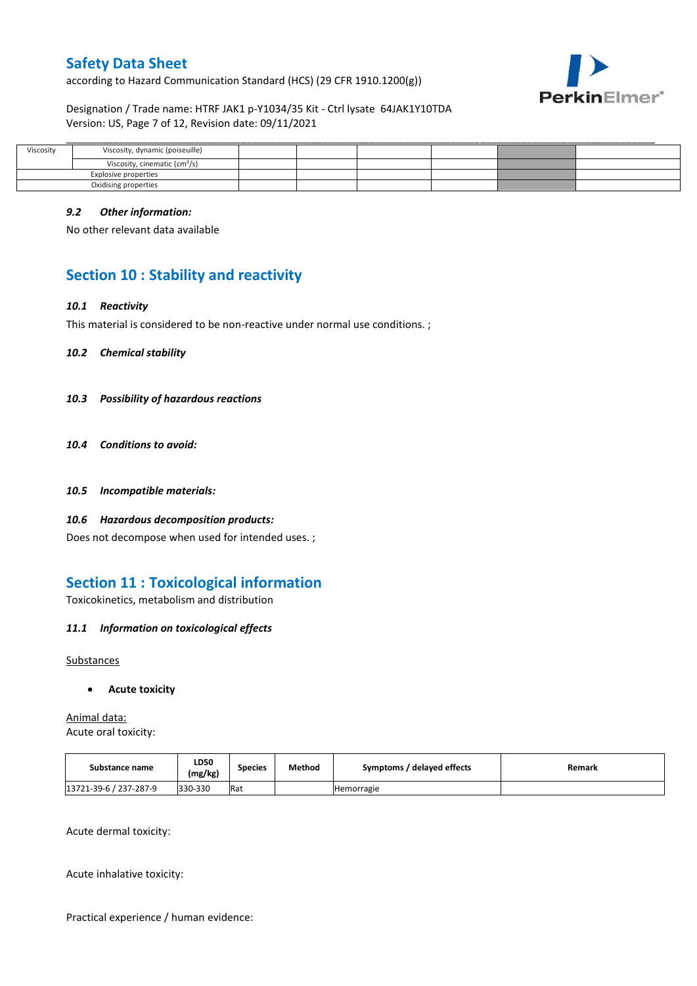according to Hazard Communication Standard (HCS) (29 CFR 1910.1200(g))



#### Designation / Trade name: HTRF JAK1 p-Y1034/35 Kit - Ctrl lysate 64JAK1Y10TDA Version: US, Page 7 of 12, Revision date: 09/11/2021

| Viscosity            | Viscosity, dynamic (poiseuille)           |  |  |  |
|----------------------|-------------------------------------------|--|--|--|
|                      | Viscosity, cinematic (cm <sup>3</sup> /s) |  |  |  |
|                      | Explosive properties                      |  |  |  |
| Oxidising properties |                                           |  |  |  |

#### *9.2 Other information:*

No other relevant data available

# **Section 10 : Stability and reactivity**

#### *10.1 Reactivity*

This material is considered to be non-reactive under normal use conditions. ;

*10.2 Chemical stability*

- *10.3 Possibility of hazardous reactions*
- *10.4 Conditions to avoid:*
- *10.5 Incompatible materials:*
- *10.6 Hazardous decomposition products:*

Does not decompose when used for intended uses. ;

### **Section 11 : Toxicological information**

Toxicokinetics, metabolism and distribution

### *11.1 Information on toxicological effects*

#### Substances

#### **Acute toxicity**

Animal data: Acute oral toxicity:

| Substance name         | LD50<br>(mg/kg) | Species | Method | Symptoms / delayed effects | Remark |
|------------------------|-----------------|---------|--------|----------------------------|--------|
| 13721-39-6 / 237-287-9 | 330-330         | Rat     |        | <b>Hemorragie</b>          |        |

Acute dermal toxicity:

Acute inhalative toxicity:

Practical experience / human evidence: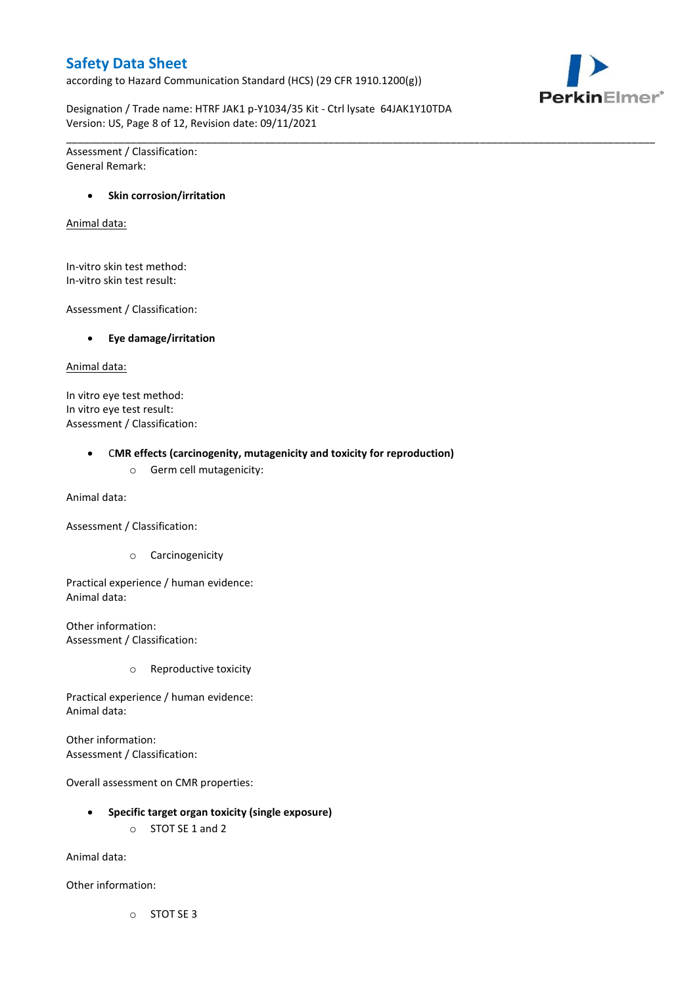according to Hazard Communication Standard (HCS) (29 CFR 1910.1200(g))



Designation / Trade name: HTRF JAK1 p-Y1034/35 Kit - Ctrl lysate 64JAK1Y10TDA Version: US, Page 8 of 12, Revision date: 09/11/2021

\_\_\_\_\_\_\_\_\_\_\_\_\_\_\_\_\_\_\_\_\_\_\_\_\_\_\_\_\_\_\_\_\_\_\_\_\_\_\_\_\_\_\_\_\_\_\_\_\_\_\_\_\_\_\_\_\_\_\_\_\_\_\_\_\_\_\_\_\_\_\_\_\_\_\_\_\_\_\_\_\_\_\_\_\_\_\_\_\_\_\_\_\_\_\_\_\_\_\_\_\_

Assessment / Classification: General Remark:

#### **Skin corrosion/irritation**

Animal data:

In-vitro skin test method: In-vitro skin test result:

Assessment / Classification:

**Eye damage/irritation**

Animal data:

In vitro eye test method: In vitro eye test result: Assessment / Classification:

C**MR effects (carcinogenity, mutagenicity and toxicity for reproduction)**

o Germ cell mutagenicity:

Animal data:

Assessment / Classification:

o Carcinogenicity

Practical experience / human evidence: Animal data:

Other information: Assessment / Classification:

o Reproductive toxicity

Practical experience / human evidence: Animal data:

Other information: Assessment / Classification:

Overall assessment on CMR properties:

- **Specific target organ toxicity (single exposure)**
	- o STOT SE 1 and 2

Animal data:

Other information:

o STOT SE 3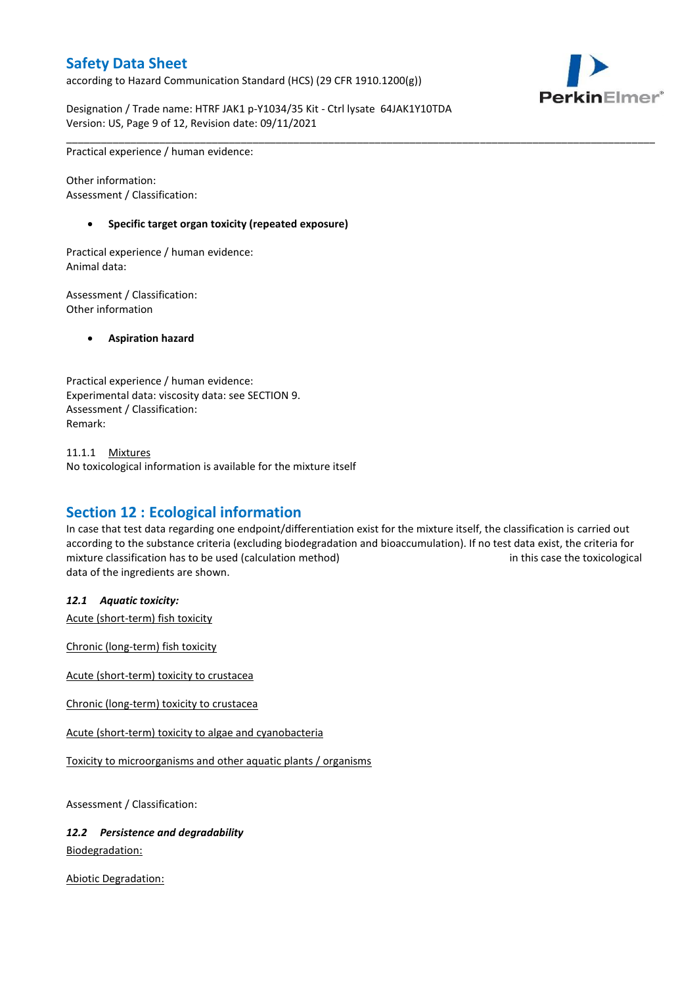according to Hazard Communication Standard (HCS) (29 CFR 1910.1200(g))



Designation / Trade name: HTRF JAK1 p-Y1034/35 Kit - Ctrl lysate 64JAK1Y10TDA Version: US, Page 9 of 12, Revision date: 09/11/2021

Practical experience / human evidence:

Other information: Assessment / Classification:

#### **Specific target organ toxicity (repeated exposure)**

Practical experience / human evidence: Animal data:

Assessment / Classification: Other information

**Aspiration hazard**

Practical experience / human evidence: Experimental data: viscosity data: see SECTION 9. Assessment / Classification: Remark:

11.1.1 Mixtures No toxicological information is available for the mixture itself

### **Section 12 : Ecological information**

In case that test data regarding one endpoint/differentiation exist for the mixture itself, the classification is carried out according to the substance criteria (excluding biodegradation and bioaccumulation). If no test data exist, the criteria for mixture classification has to be used (calculation method) in this case the toxicological data of the ingredients are shown.

\_\_\_\_\_\_\_\_\_\_\_\_\_\_\_\_\_\_\_\_\_\_\_\_\_\_\_\_\_\_\_\_\_\_\_\_\_\_\_\_\_\_\_\_\_\_\_\_\_\_\_\_\_\_\_\_\_\_\_\_\_\_\_\_\_\_\_\_\_\_\_\_\_\_\_\_\_\_\_\_\_\_\_\_\_\_\_\_\_\_\_\_\_\_\_\_\_\_\_\_\_

#### *12.1 Aquatic toxicity:*

Acute (short-term) fish toxicity

Chronic (long-term) fish toxicity

Acute (short-term) toxicity to crustacea

Chronic (long-term) toxicity to crustacea

Acute (short-term) toxicity to algae and cyanobacteria

Toxicity to microorganisms and other aquatic plants / organisms

Assessment / Classification:

#### *12.2 Persistence and degradability*

Biodegradation:

Abiotic Degradation: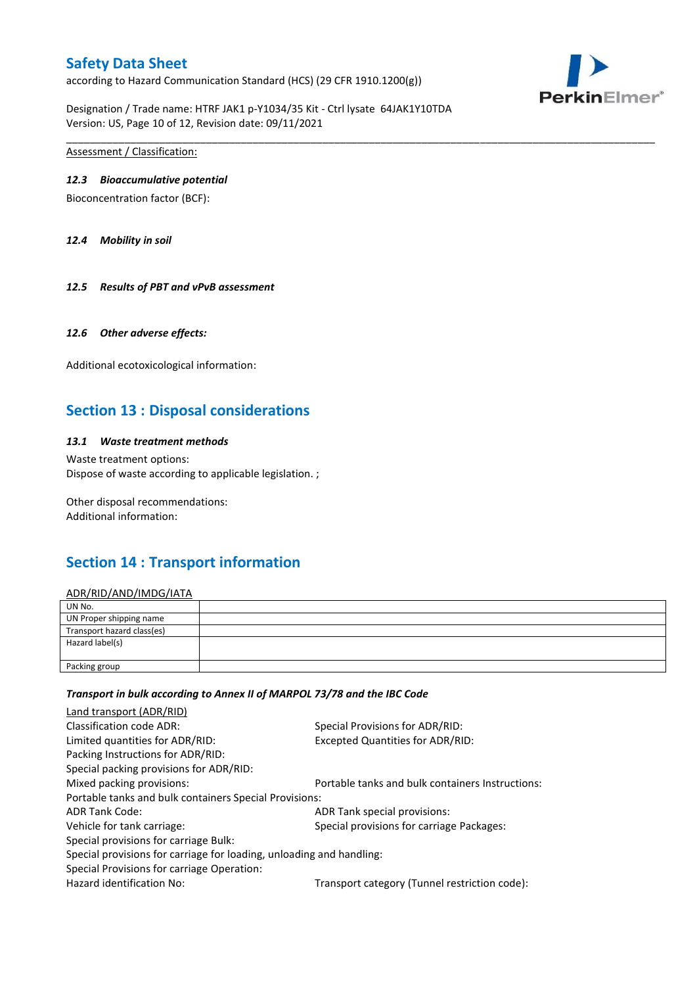according to Hazard Communication Standard (HCS) (29 CFR 1910.1200(g))



Designation / Trade name: HTRF JAK1 p-Y1034/35 Kit - Ctrl lysate 64JAK1Y10TDA Version: US, Page 10 of 12, Revision date: 09/11/2021

Assessment / Classification:

#### *12.3 Bioaccumulative potential*

Bioconcentration factor (BCF):

*12.4 Mobility in soil*

*12.5 Results of PBT and vPvB assessment*

#### *12.6 Other adverse effects:*

Additional ecotoxicological information:

### **Section 13 : Disposal considerations**

#### *13.1 Waste treatment methods*

Waste treatment options: Dispose of waste according to applicable legislation. ;

Other disposal recommendations: Additional information:

# **Section 14 : Transport information**

#### ADR/RID/AND/IMDG/IATA

| UN No.                     |  |
|----------------------------|--|
| UN Proper shipping name    |  |
| Transport hazard class(es) |  |
| Hazard label(s)            |  |
| Packing group              |  |

\_\_\_\_\_\_\_\_\_\_\_\_\_\_\_\_\_\_\_\_\_\_\_\_\_\_\_\_\_\_\_\_\_\_\_\_\_\_\_\_\_\_\_\_\_\_\_\_\_\_\_\_\_\_\_\_\_\_\_\_\_\_\_\_\_\_\_\_\_\_\_\_\_\_\_\_\_\_\_\_\_\_\_\_\_\_\_\_\_\_\_\_\_\_\_\_\_\_\_\_\_

#### *Transport in bulk according to Annex II of MARPOL 73/78 and the IBC Code*

| Special Provisions for ADR/RID:                                      |
|----------------------------------------------------------------------|
| Excepted Quantities for ADR/RID:                                     |
|                                                                      |
|                                                                      |
| Portable tanks and bulk containers Instructions:                     |
| Portable tanks and bulk containers Special Provisions:               |
| ADR Tank special provisions:                                         |
| Special provisions for carriage Packages:                            |
|                                                                      |
| Special provisions for carriage for loading, unloading and handling: |
|                                                                      |
| Transport category (Tunnel restriction code):                        |
|                                                                      |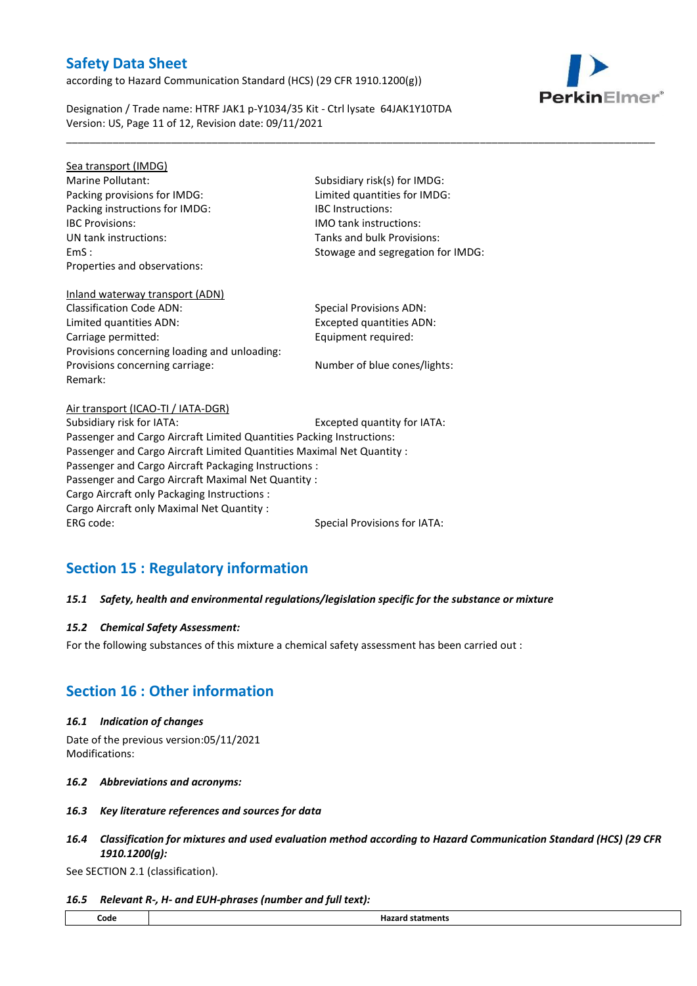according to Hazard Communication Standard (HCS) (29 CFR 1910.1200(g))



Designation / Trade name: HTRF JAK1 p-Y1034/35 Kit - Ctrl lysate 64JAK1Y10TDA Version: US, Page 11 of 12, Revision date: 09/11/2021

Sea transport (IMDG) Marine Pollutant: Subsidiary risk(s) for IMDG: Packing provisions for IMDG: Limited quantities for IMDG: Packing instructions for IMDG: IBC Instructions: IBC Provisions: IMO tank instructions: UN tank instructions: Tanks and bulk Provisions: Properties and observations:

EmS : Stowage and segregation for IMDG:

\_\_\_\_\_\_\_\_\_\_\_\_\_\_\_\_\_\_\_\_\_\_\_\_\_\_\_\_\_\_\_\_\_\_\_\_\_\_\_\_\_\_\_\_\_\_\_\_\_\_\_\_\_\_\_\_\_\_\_\_\_\_\_\_\_\_\_\_\_\_\_\_\_\_\_\_\_\_\_\_\_\_\_\_\_\_\_\_\_\_\_\_\_\_\_\_\_\_\_\_\_

### Inland waterway transport (ADN) Classification Code ADN: Special Provisions ADN:

Limited quantities ADN: Excepted quantities ADN: Carriage permitted: Carriage permitted: Provisions concerning loading and unloading: Provisions concerning carriage: Number of blue cones/lights: Remark:

Air transport (ICAO-TI / IATA-DGR) Subsidiary risk for IATA: Excepted quantity for IATA: Passenger and Cargo Aircraft Limited Quantities Packing Instructions: Passenger and Cargo Aircraft Limited Quantities Maximal Net Quantity : Passenger and Cargo Aircraft Packaging Instructions : Passenger and Cargo Aircraft Maximal Net Quantity : Cargo Aircraft only Packaging Instructions : Cargo Aircraft only Maximal Net Quantity : ERG code: Special Provisions for IATA:

# **Section 15 : Regulatory information**

### *15.1 Safety, health and environmental regulations/legislation specific for the substance or mixture*

### *15.2 Chemical Safety Assessment:*

For the following substances of this mixture a chemical safety assessment has been carried out :

# **Section 16 : Other information**

### *16.1 Indication of changes*

Date of the previous version:05/11/2021 Modifications:

- *16.2 Abbreviations and acronyms:*
- *16.3 Key literature references and sources for data*
- *16.4 Classification for mixtures and used evaluation method according to Hazard Communication Standard (HCS) (29 CFR 1910.1200(g):*

See SECTION 2.1 (classification).

### *16.5 Relevant R-, H- and EUH-phrases (number and full text):*

| <br>Code<br>. | . |
|---------------|---|
|               |   |